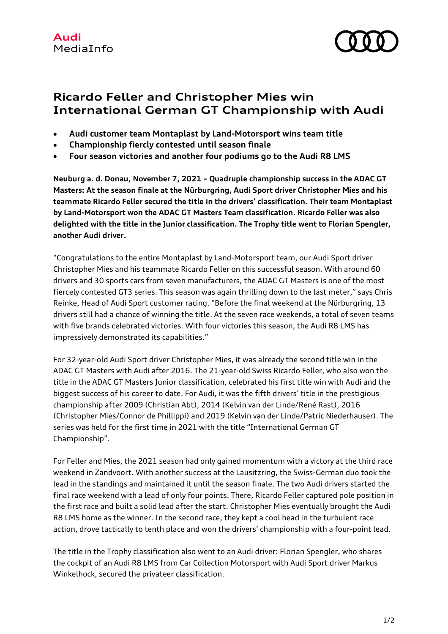

## **Ricardo Feller and Christopher Mies win International German GT Championship with Audi**

- **Audi customer team Montaplast by Land-Motorsport wins team title**
- **Championship fiercly contested until season finale**
- **Four season victories and another four podiums go to the Audi R8 LMS**

**Neuburg a. d. Donau, November 7, 2021 – Quadruple championship success in the ADAC GT Masters: At the season finale at the Nürburgring, Audi Sport driver Christopher Mies and his teammate Ricardo Feller secured the title in the drivers' classification. Their team Montaplast by Land-Motorsport won the ADAC GT Masters Team classification. Ricardo Feller was also delighted with the title in the Junior classification. The Trophy title went to Florian Spengler, another Audi driver.**

"Congratulations to the entire Montaplast by Land-Motorsport team, our Audi Sport driver Christopher Mies and his teammate Ricardo Feller on this successful season. With around 60 drivers and 30 sports cars from seven manufacturers, the ADAC GT Masters is one of the most fiercely contested GT3 series. This season was again thrilling down to the last meter," says Chris Reinke, Head of Audi Sport customer racing. "Before the final weekend at the Nürburgring, 13 drivers still had a chance of winning the title. At the seven race weekends, a total of seven teams with five brands celebrated victories. With four victories this season, the Audi R8 LMS has impressively demonstrated its capabilities."

For 32-year-old Audi Sport driver Christopher Mies, it was already the second title win in the ADAC GT Masters with Audi after 2016. The 21-year-old Swiss Ricardo Feller, who also won the title in the ADAC GT Masters Junior classification, celebrated his first title win with Audi and the biggest success of his career to date. For Audi, it was the fifth drivers' title in the prestigious championship after 2009 (Christian Abt), 2014 (Kelvin van der Linde/René Rast), 2016 (Christopher Mies/Connor de Phillippi) and 2019 (Kelvin van der Linde/Patric Niederhauser). The series was held for the first time in 2021 with the title "International German GT Championship".

For Feller and Mies, the 2021 season had only gained momentum with a victory at the third race weekend in Zandvoort. With another success at the Lausitzring, the Swiss-German duo took the lead in the standings and maintained it until the season finale. The two Audi drivers started the final race weekend with a lead of only four points. There, Ricardo Feller captured pole position in the first race and built a solid lead after the start. Christopher Mies eventually brought the Audi R8 LMS home as the winner. In the second race, they kept a cool head in the turbulent race action, drove tactically to tenth place and won the drivers' championship with a four-point lead.

The title in the Trophy classification also went to an Audi driver: Florian Spengler, who shares the cockpit of an Audi R8 LMS from Car Collection Motorsport with Audi Sport driver Markus Winkelhock, secured the privateer classification.